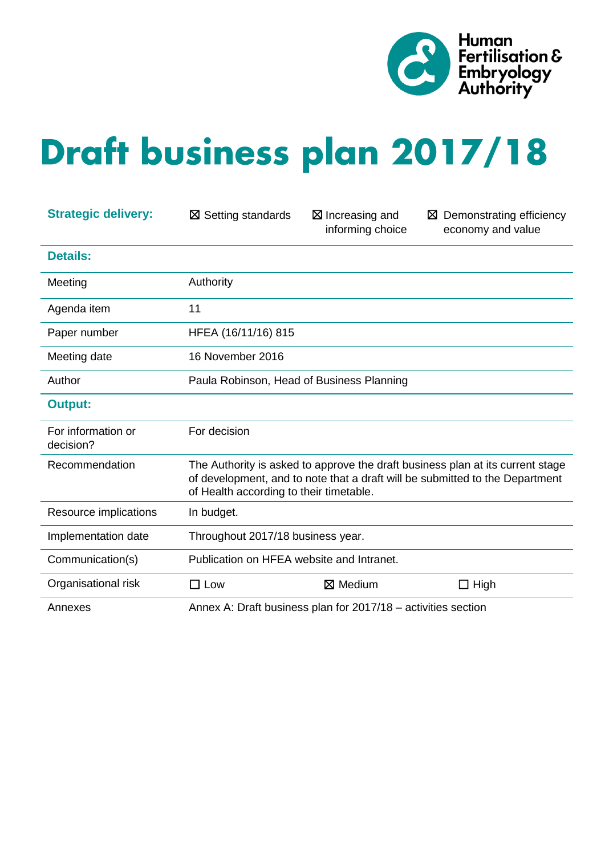

# **Draft business plan 2017/18**

| <b>Strategic delivery:</b>      | $\boxtimes$ Setting standards             | $\boxtimes$ Increasing and<br>informing choice                | $\boxtimes$ Demonstrating efficiency<br>economy and value                                                                                                      |
|---------------------------------|-------------------------------------------|---------------------------------------------------------------|----------------------------------------------------------------------------------------------------------------------------------------------------------------|
| <b>Details:</b>                 |                                           |                                                               |                                                                                                                                                                |
| Meeting                         | Authority                                 |                                                               |                                                                                                                                                                |
| Agenda item                     | 11                                        |                                                               |                                                                                                                                                                |
| Paper number                    | HFEA (16/11/16) 815                       |                                                               |                                                                                                                                                                |
| Meeting date                    | 16 November 2016                          |                                                               |                                                                                                                                                                |
| Author                          | Paula Robinson, Head of Business Planning |                                                               |                                                                                                                                                                |
| <b>Output:</b>                  |                                           |                                                               |                                                                                                                                                                |
| For information or<br>decision? | For decision                              |                                                               |                                                                                                                                                                |
| Recommendation                  | of Health according to their timetable.   |                                                               | The Authority is asked to approve the draft business plan at its current stage<br>of development, and to note that a draft will be submitted to the Department |
| Resource implications           | In budget.                                |                                                               |                                                                                                                                                                |
| Implementation date             | Throughout 2017/18 business year.         |                                                               |                                                                                                                                                                |
| Communication(s)                | Publication on HFEA website and Intranet. |                                                               |                                                                                                                                                                |
| Organisational risk             | $\square$ Low                             | $\boxtimes$ Medium                                            | $\Box$ High                                                                                                                                                    |
| Annexes                         |                                           | Annex A: Draft business plan for 2017/18 - activities section |                                                                                                                                                                |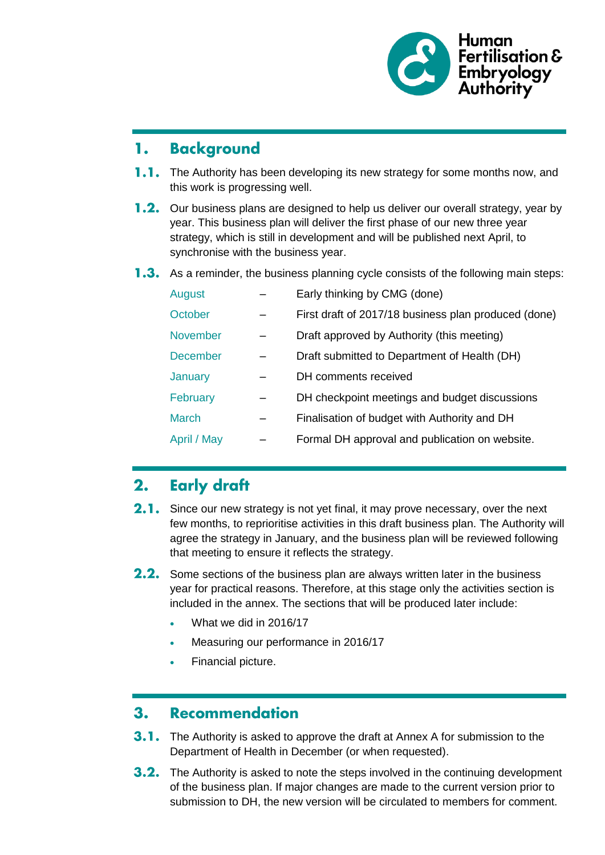

#### **Background** 1.

- **1.1.** The Authority has been developing its new strategy for some months now, and this work is progressing well.
- 1.2. Our business plans are designed to help us deliver our overall strategy, year by year. This business plan will deliver the first phase of our new three year strategy, which is still in development and will be published next April, to synchronise with the business year.
- **1.3.** As a reminder, the business planning cycle consists of the following main steps:

| August          | Early thinking by CMG (done)                         |
|-----------------|------------------------------------------------------|
| October         | First draft of 2017/18 business plan produced (done) |
| <b>November</b> | Draft approved by Authority (this meeting)           |
| <b>December</b> | Draft submitted to Department of Health (DH)         |
| January         | DH comments received                                 |
| February        | DH checkpoint meetings and budget discussions        |
| <b>March</b>    | Finalisation of budget with Authority and DH         |
| April / May     | Formal DH approval and publication on website.       |

#### **Early draft**  $2.$

- **2.1.** Since our new strategy is not yet final, it may prove necessary, over the next few months, to reprioritise activities in this draft business plan. The Authority will agree the strategy in January, and the business plan will be reviewed following that meeting to ensure it reflects the strategy.
- 2.2. Some sections of the business plan are always written later in the business year for practical reasons. Therefore, at this stage only the activities section is included in the annex. The sections that will be produced later include:
	- What we did in 2016/17
	- Measuring our performance in 2016/17
	- Financial picture.

#### $3<sub>1</sub>$ **Recommendation**

- **3.1.** The Authority is asked to approve the draft at Annex A for submission to the Department of Health in December (or when requested).
- 3.2. The Authority is asked to note the steps involved in the continuing development of the business plan. If major changes are made to the current version prior to submission to DH, the new version will be circulated to members for comment.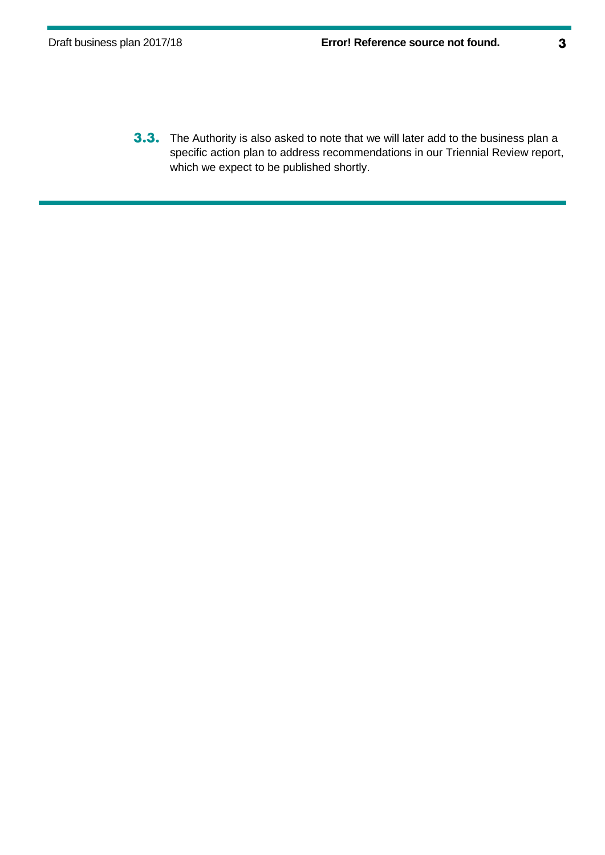**3.3.** The Authority is also asked to note that we will later add to the business plan a specific action plan to address recommendations in our Triennial Review report, which we expect to be published shortly.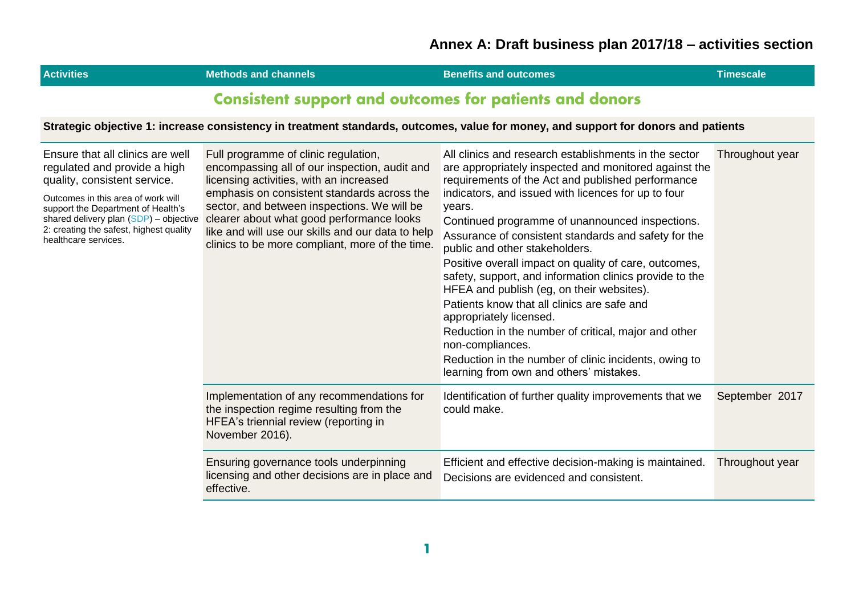| <b>Activities</b>                                                                                                                                                                                                                                                                         | <b>Methods and channels</b>                                                                                                                                                                                                                                                                                                                                                         | <b>Benefits and outcomes</b>                                                                                                                                                                                                                                                                                                                                                                                                                                                                                                                                                                                                                                                                                                                                                                                 | <b>Timescale</b> |
|-------------------------------------------------------------------------------------------------------------------------------------------------------------------------------------------------------------------------------------------------------------------------------------------|-------------------------------------------------------------------------------------------------------------------------------------------------------------------------------------------------------------------------------------------------------------------------------------------------------------------------------------------------------------------------------------|--------------------------------------------------------------------------------------------------------------------------------------------------------------------------------------------------------------------------------------------------------------------------------------------------------------------------------------------------------------------------------------------------------------------------------------------------------------------------------------------------------------------------------------------------------------------------------------------------------------------------------------------------------------------------------------------------------------------------------------------------------------------------------------------------------------|------------------|
|                                                                                                                                                                                                                                                                                           | <b>Consistent support and outcomes for patients and donors</b>                                                                                                                                                                                                                                                                                                                      |                                                                                                                                                                                                                                                                                                                                                                                                                                                                                                                                                                                                                                                                                                                                                                                                              |                  |
|                                                                                                                                                                                                                                                                                           |                                                                                                                                                                                                                                                                                                                                                                                     | Strategic objective 1: increase consistency in treatment standards, outcomes, value for money, and support for donors and patients                                                                                                                                                                                                                                                                                                                                                                                                                                                                                                                                                                                                                                                                           |                  |
| Ensure that all clinics are well<br>regulated and provide a high<br>quality, consistent service.<br>Outcomes in this area of work will<br>support the Department of Health's<br>shared delivery plan (SDP) - objective<br>2: creating the safest, highest quality<br>healthcare services. | Full programme of clinic regulation,<br>encompassing all of our inspection, audit and<br>licensing activities, with an increased<br>emphasis on consistent standards across the<br>sector, and between inspections. We will be<br>clearer about what good performance looks<br>like and will use our skills and our data to help<br>clinics to be more compliant, more of the time. | All clinics and research establishments in the sector<br>are appropriately inspected and monitored against the<br>requirements of the Act and published performance<br>indicators, and issued with licences for up to four<br>years.<br>Continued programme of unannounced inspections.<br>Assurance of consistent standards and safety for the<br>public and other stakeholders.<br>Positive overall impact on quality of care, outcomes,<br>safety, support, and information clinics provide to the<br>HFEA and publish (eg, on their websites).<br>Patients know that all clinics are safe and<br>appropriately licensed.<br>Reduction in the number of critical, major and other<br>non-compliances.<br>Reduction in the number of clinic incidents, owing to<br>learning from own and others' mistakes. | Throughout year  |
|                                                                                                                                                                                                                                                                                           | Implementation of any recommendations for<br>the inspection regime resulting from the<br>HFEA's triennial review (reporting in<br>November 2016).                                                                                                                                                                                                                                   | Identification of further quality improvements that we<br>could make.                                                                                                                                                                                                                                                                                                                                                                                                                                                                                                                                                                                                                                                                                                                                        | September 2017   |
|                                                                                                                                                                                                                                                                                           | Ensuring governance tools underpinning<br>licensing and other decisions are in place and<br>effective.                                                                                                                                                                                                                                                                              | Efficient and effective decision-making is maintained.<br>Decisions are evidenced and consistent.                                                                                                                                                                                                                                                                                                                                                                                                                                                                                                                                                                                                                                                                                                            | Throughout year  |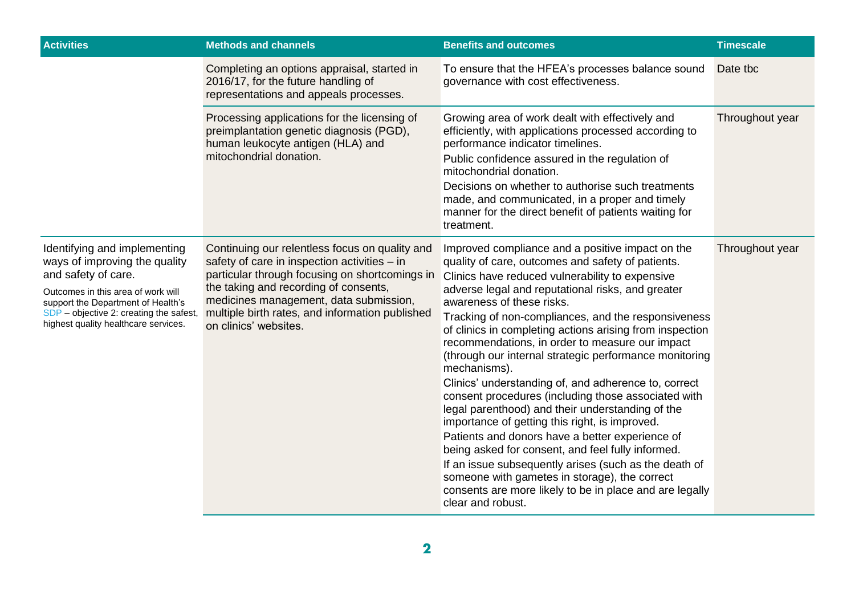| <b>Activities</b>                                                                                                                                                                                                                                   | <b>Methods and channels</b>                                                                                                                                                                                                                                                                                     | <b>Benefits and outcomes</b>                                                                                                                                                                                                                                                                                                                                                                                                                                                                                                                                                                                                                                                                                                                                                                                                                                                                                                                                                                                      | <b>Timescale</b> |
|-----------------------------------------------------------------------------------------------------------------------------------------------------------------------------------------------------------------------------------------------------|-----------------------------------------------------------------------------------------------------------------------------------------------------------------------------------------------------------------------------------------------------------------------------------------------------------------|-------------------------------------------------------------------------------------------------------------------------------------------------------------------------------------------------------------------------------------------------------------------------------------------------------------------------------------------------------------------------------------------------------------------------------------------------------------------------------------------------------------------------------------------------------------------------------------------------------------------------------------------------------------------------------------------------------------------------------------------------------------------------------------------------------------------------------------------------------------------------------------------------------------------------------------------------------------------------------------------------------------------|------------------|
|                                                                                                                                                                                                                                                     | Completing an options appraisal, started in<br>2016/17, for the future handling of<br>representations and appeals processes.                                                                                                                                                                                    | To ensure that the HFEA's processes balance sound<br>governance with cost effectiveness.                                                                                                                                                                                                                                                                                                                                                                                                                                                                                                                                                                                                                                                                                                                                                                                                                                                                                                                          | Date tbc         |
|                                                                                                                                                                                                                                                     | Processing applications for the licensing of<br>preimplantation genetic diagnosis (PGD),<br>human leukocyte antigen (HLA) and<br>mitochondrial donation.                                                                                                                                                        | Growing area of work dealt with effectively and<br>efficiently, with applications processed according to<br>performance indicator timelines.<br>Public confidence assured in the regulation of<br>mitochondrial donation.<br>Decisions on whether to authorise such treatments<br>made, and communicated, in a proper and timely<br>manner for the direct benefit of patients waiting for<br>treatment.                                                                                                                                                                                                                                                                                                                                                                                                                                                                                                                                                                                                           | Throughout year  |
| Identifying and implementing<br>ways of improving the quality<br>and safety of care.<br>Outcomes in this area of work will<br>support the Department of Health's<br>SDP - objective 2: creating the safest,<br>highest quality healthcare services. | Continuing our relentless focus on quality and<br>safety of care in inspection activities - in<br>particular through focusing on shortcomings in<br>the taking and recording of consents,<br>medicines management, data submission,<br>multiple birth rates, and information published<br>on clinics' websites. | Improved compliance and a positive impact on the<br>quality of care, outcomes and safety of patients.<br>Clinics have reduced vulnerability to expensive<br>adverse legal and reputational risks, and greater<br>awareness of these risks.<br>Tracking of non-compliances, and the responsiveness<br>of clinics in completing actions arising from inspection<br>recommendations, in order to measure our impact<br>(through our internal strategic performance monitoring<br>mechanisms).<br>Clinics' understanding of, and adherence to, correct<br>consent procedures (including those associated with<br>legal parenthood) and their understanding of the<br>importance of getting this right, is improved.<br>Patients and donors have a better experience of<br>being asked for consent, and feel fully informed.<br>If an issue subsequently arises (such as the death of<br>someone with gametes in storage), the correct<br>consents are more likely to be in place and are legally<br>clear and robust. | Throughout year  |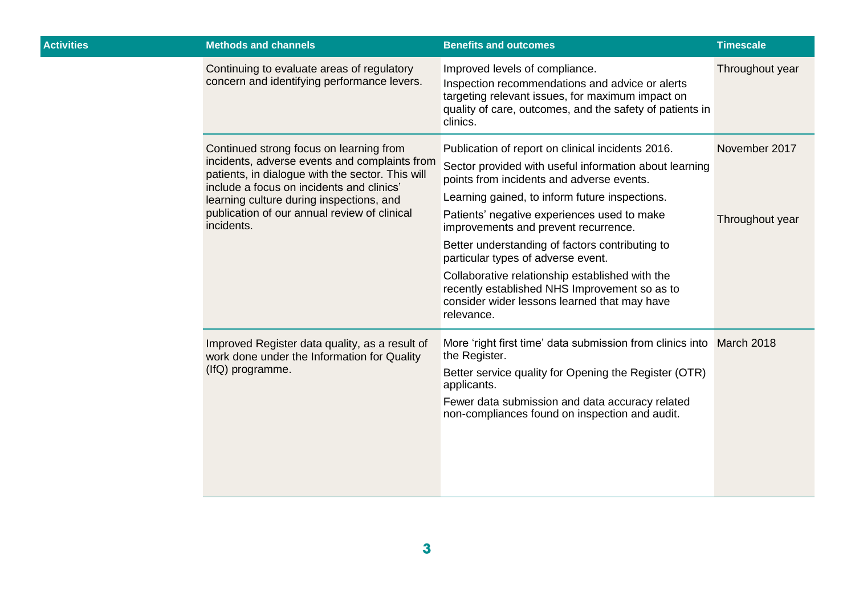| <b>Activities</b> | <b>Methods and channels</b>                                                                                                                                                                                                                                                                         | <b>Benefits and outcomes</b>                                                                                                                                                                                                                                                                                                                                                                                                                                                                                                                                 | <b>Timescale</b>                 |
|-------------------|-----------------------------------------------------------------------------------------------------------------------------------------------------------------------------------------------------------------------------------------------------------------------------------------------------|--------------------------------------------------------------------------------------------------------------------------------------------------------------------------------------------------------------------------------------------------------------------------------------------------------------------------------------------------------------------------------------------------------------------------------------------------------------------------------------------------------------------------------------------------------------|----------------------------------|
|                   | Continuing to evaluate areas of regulatory<br>concern and identifying performance levers.                                                                                                                                                                                                           | Improved levels of compliance.<br>Inspection recommendations and advice or alerts<br>targeting relevant issues, for maximum impact on<br>quality of care, outcomes, and the safety of patients in<br>clinics.                                                                                                                                                                                                                                                                                                                                                | Throughout year                  |
|                   | Continued strong focus on learning from<br>incidents, adverse events and complaints from<br>patients, in dialogue with the sector. This will<br>include a focus on incidents and clinics'<br>learning culture during inspections, and<br>publication of our annual review of clinical<br>incidents. | Publication of report on clinical incidents 2016.<br>Sector provided with useful information about learning<br>points from incidents and adverse events.<br>Learning gained, to inform future inspections.<br>Patients' negative experiences used to make<br>improvements and prevent recurrence.<br>Better understanding of factors contributing to<br>particular types of adverse event.<br>Collaborative relationship established with the<br>recently established NHS Improvement so as to<br>consider wider lessons learned that may have<br>relevance. | November 2017<br>Throughout year |
|                   | Improved Register data quality, as a result of<br>work done under the Information for Quality<br>(IfQ) programme.                                                                                                                                                                                   | More 'right first time' data submission from clinics into March 2018<br>the Register.<br>Better service quality for Opening the Register (OTR)<br>applicants.<br>Fewer data submission and data accuracy related<br>non-compliances found on inspection and audit.                                                                                                                                                                                                                                                                                           |                                  |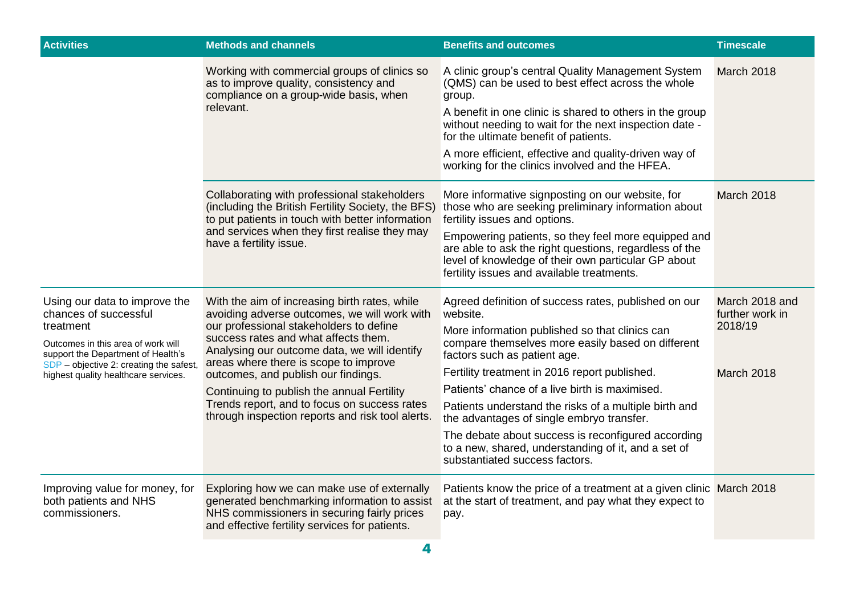| <b>Activities</b>                                                                                                                                                                                                                  | <b>Methods and channels</b>                                                                                                                                                                                                                                                                                                                                                                                                                                        | <b>Benefits and outcomes</b>                                                                                                                                                                                                                                                                                                                                                                                                                                                                                                                                    | <b>Timescale</b>                                           |
|------------------------------------------------------------------------------------------------------------------------------------------------------------------------------------------------------------------------------------|--------------------------------------------------------------------------------------------------------------------------------------------------------------------------------------------------------------------------------------------------------------------------------------------------------------------------------------------------------------------------------------------------------------------------------------------------------------------|-----------------------------------------------------------------------------------------------------------------------------------------------------------------------------------------------------------------------------------------------------------------------------------------------------------------------------------------------------------------------------------------------------------------------------------------------------------------------------------------------------------------------------------------------------------------|------------------------------------------------------------|
|                                                                                                                                                                                                                                    | Working with commercial groups of clinics so<br>as to improve quality, consistency and<br>compliance on a group-wide basis, when<br>relevant.                                                                                                                                                                                                                                                                                                                      | A clinic group's central Quality Management System<br>(QMS) can be used to best effect across the whole<br>group.<br>A benefit in one clinic is shared to others in the group<br>without needing to wait for the next inspection date -<br>for the ultimate benefit of patients.<br>A more efficient, effective and quality-driven way of<br>working for the clinics involved and the HFEA.                                                                                                                                                                     | March 2018                                                 |
|                                                                                                                                                                                                                                    | Collaborating with professional stakeholders<br>(including the British Fertility Society, the BFS)<br>to put patients in touch with better information<br>and services when they first realise they may<br>have a fertility issue.                                                                                                                                                                                                                                 | More informative signposting on our website, for<br>those who are seeking preliminary information about<br>fertility issues and options.<br>Empowering patients, so they feel more equipped and<br>are able to ask the right questions, regardless of the<br>level of knowledge of their own particular GP about<br>fertility issues and available treatments.                                                                                                                                                                                                  | March 2018                                                 |
| Using our data to improve the<br>chances of successful<br>treatment<br>Outcomes in this area of work will<br>support the Department of Health's<br>SDP - objective 2: creating the safest,<br>highest quality healthcare services. | With the aim of increasing birth rates, while<br>avoiding adverse outcomes, we will work with<br>our professional stakeholders to define<br>success rates and what affects them.<br>Analysing our outcome data, we will identify<br>areas where there is scope to improve<br>outcomes, and publish our findings.<br>Continuing to publish the annual Fertility<br>Trends report, and to focus on success rates<br>through inspection reports and risk tool alerts. | Agreed definition of success rates, published on our<br>website.<br>More information published so that clinics can<br>compare themselves more easily based on different<br>factors such as patient age.<br>Fertility treatment in 2016 report published.<br>Patients' chance of a live birth is maximised.<br>Patients understand the risks of a multiple birth and<br>the advantages of single embryo transfer.<br>The debate about success is reconfigured according<br>to a new, shared, understanding of it, and a set of<br>substantiated success factors. | March 2018 and<br>further work in<br>2018/19<br>March 2018 |
| Improving value for money, for<br>both patients and NHS<br>commissioners.                                                                                                                                                          | Exploring how we can make use of externally<br>generated benchmarking information to assist<br>NHS commissioners in securing fairly prices<br>and effective fertility services for patients.                                                                                                                                                                                                                                                                       | Patients know the price of a treatment at a given clinic March 2018<br>at the start of treatment, and pay what they expect to<br>pay.                                                                                                                                                                                                                                                                                                                                                                                                                           |                                                            |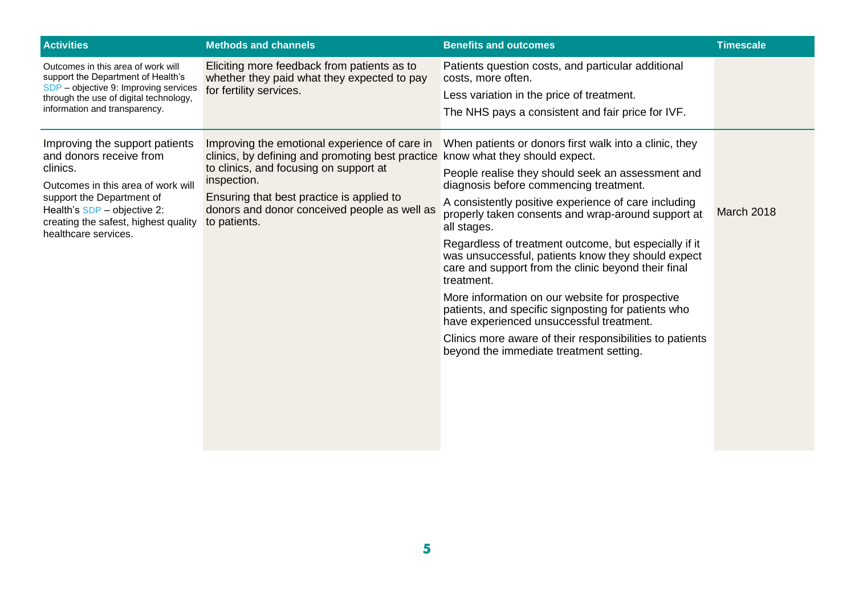| <b>Activities</b>                                                                                                        | <b>Methods and channels</b>                                                                                                                                                      | <b>Benefits and outcomes</b>                                                                                                                       | <b>Timescale</b> |
|--------------------------------------------------------------------------------------------------------------------------|----------------------------------------------------------------------------------------------------------------------------------------------------------------------------------|----------------------------------------------------------------------------------------------------------------------------------------------------|------------------|
| Outcomes in this area of work will<br>support the Department of Health's                                                 | Eliciting more feedback from patients as to<br>whether they paid what they expected to pay                                                                                       | Patients question costs, and particular additional<br>costs, more often.                                                                           |                  |
| SDP - objective 9: Improving services<br>through the use of digital technology,                                          | for fertility services.                                                                                                                                                          | Less variation in the price of treatment.                                                                                                          |                  |
| information and transparency.                                                                                            |                                                                                                                                                                                  | The NHS pays a consistent and fair price for IVF.                                                                                                  |                  |
| Improving the support patients<br>and donors receive from                                                                | Improving the emotional experience of care in<br>clinics, by defining and promoting best practice know what they should expect.                                                  | When patients or donors first walk into a clinic, they                                                                                             |                  |
| clinics.<br>Outcomes in this area of work will                                                                           | to clinics, and focusing on support at<br>inspection.                                                                                                                            | People realise they should seek an assessment and<br>diagnosis before commencing treatment.                                                        |                  |
| support the Department of<br>Health's SDP - objective 2:<br>creating the safest, highest quality<br>healthcare services. | Ensuring that best practice is applied to<br>donors and donor conceived people as well as<br>to patients.                                                                        | A consistently positive experience of care including<br>properly taken consents and wrap-around support at<br>all stages.                          | March 2018       |
|                                                                                                                          | Regardless of treatment outcome, but especially if it<br>was unsuccessful, patients know they should expect<br>care and support from the clinic beyond their final<br>treatment. |                                                                                                                                                    |                  |
|                                                                                                                          |                                                                                                                                                                                  | More information on our website for prospective<br>patients, and specific signposting for patients who<br>have experienced unsuccessful treatment. |                  |
|                                                                                                                          |                                                                                                                                                                                  | Clinics more aware of their responsibilities to patients<br>beyond the immediate treatment setting.                                                |                  |
|                                                                                                                          |                                                                                                                                                                                  |                                                                                                                                                    |                  |
|                                                                                                                          |                                                                                                                                                                                  |                                                                                                                                                    |                  |
|                                                                                                                          |                                                                                                                                                                                  |                                                                                                                                                    |                  |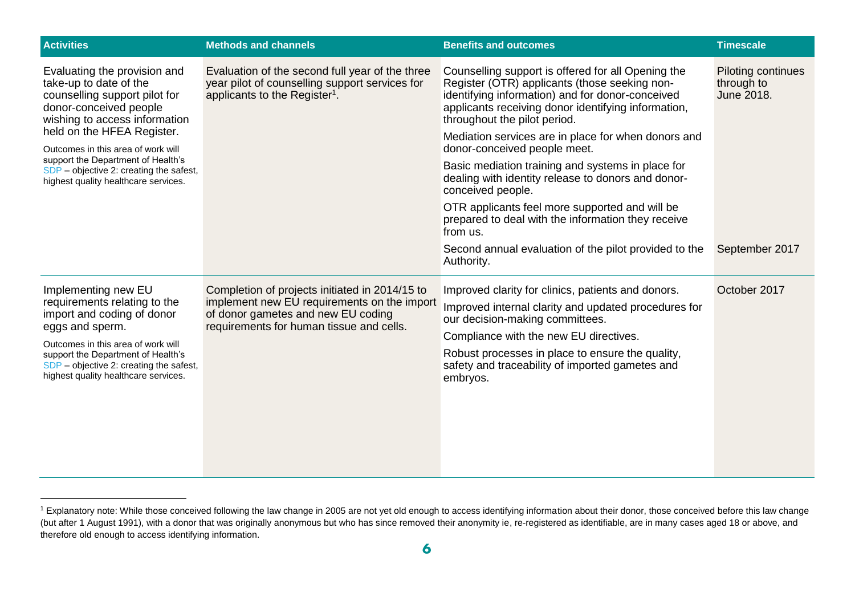| <b>Activities</b>                                                                                                                                                                                                                                                                                                                               | <b>Methods and channels</b>                                                                                                                                                     | <b>Benefits and outcomes</b>                                                                                                                                                                                                                                                                                                                                                                                                                                                                                                                                                              | <b>Timescale</b>                               |
|-------------------------------------------------------------------------------------------------------------------------------------------------------------------------------------------------------------------------------------------------------------------------------------------------------------------------------------------------|---------------------------------------------------------------------------------------------------------------------------------------------------------------------------------|-------------------------------------------------------------------------------------------------------------------------------------------------------------------------------------------------------------------------------------------------------------------------------------------------------------------------------------------------------------------------------------------------------------------------------------------------------------------------------------------------------------------------------------------------------------------------------------------|------------------------------------------------|
| Evaluating the provision and<br>take-up to date of the<br>counselling support pilot for<br>donor-conceived people<br>wishing to access information<br>held on the HFEA Register.<br>Outcomes in this area of work will<br>support the Department of Health's<br>SDP - objective 2: creating the safest,<br>highest quality healthcare services. | Evaluation of the second full year of the three<br>year pilot of counselling support services for<br>applicants to the Register <sup>1</sup> .                                  | Counselling support is offered for all Opening the<br>Register (OTR) applicants (those seeking non-<br>identifying information) and for donor-conceived<br>applicants receiving donor identifying information,<br>throughout the pilot period.<br>Mediation services are in place for when donors and<br>donor-conceived people meet.<br>Basic mediation training and systems in place for<br>dealing with identity release to donors and donor-<br>conceived people.<br>OTR applicants feel more supported and will be<br>prepared to deal with the information they receive<br>from us. | Piloting continues<br>through to<br>June 2018. |
|                                                                                                                                                                                                                                                                                                                                                 |                                                                                                                                                                                 | Second annual evaluation of the pilot provided to the<br>Authority.                                                                                                                                                                                                                                                                                                                                                                                                                                                                                                                       | September 2017                                 |
| Implementing new EU<br>requirements relating to the<br>import and coding of donor<br>eggs and sperm.<br>Outcomes in this area of work will<br>support the Department of Health's<br>SDP - objective 2: creating the safest,<br>highest quality healthcare services.                                                                             | Completion of projects initiated in 2014/15 to<br>implement new EU requirements on the import<br>of donor gametes and new EU coding<br>requirements for human tissue and cells. | Improved clarity for clinics, patients and donors.<br>Improved internal clarity and updated procedures for<br>our decision-making committees.<br>Compliance with the new EU directives.<br>Robust processes in place to ensure the quality,<br>safety and traceability of imported gametes and<br>embryos.                                                                                                                                                                                                                                                                                | October 2017                                   |

<sup>&</sup>lt;sup>1</sup> Explanatory note: While those conceived following the law change in 2005 are not yet old enough to access identifying information about their donor, those conceived before this law change (but after 1 August 1991), with a donor that was originally anonymous but who has since removed their anonymity ie, re-registered as identifiable, are in many cases aged 18 or above, and therefore old enough to access identifying information.

-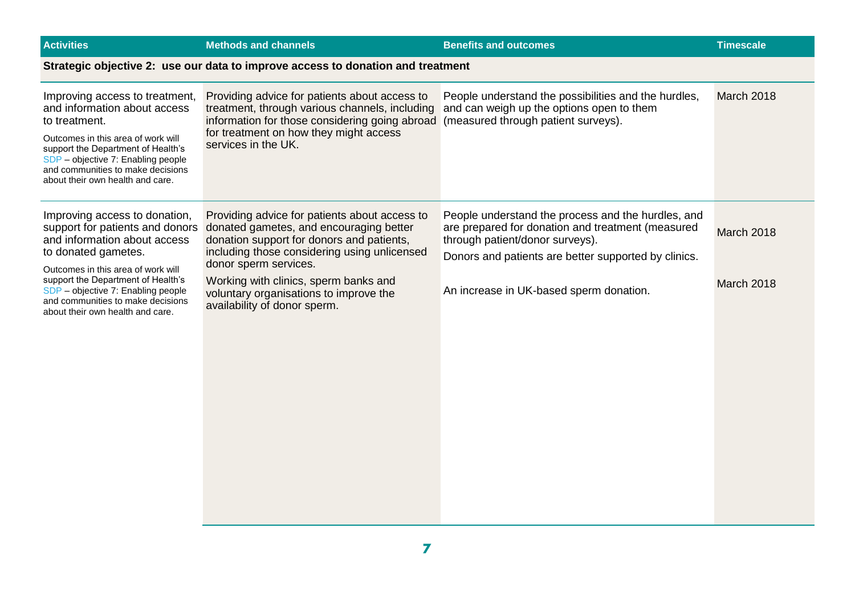| <b>Activities</b>                                                                                                                                                                                                                                                                                                  | <b>Methods and channels</b>                                                                                                                                                                                                                                                                                                       | <b>Benefits and outcomes</b>                                                                                                                                                                                                                  | <b>Timescale</b>         |
|--------------------------------------------------------------------------------------------------------------------------------------------------------------------------------------------------------------------------------------------------------------------------------------------------------------------|-----------------------------------------------------------------------------------------------------------------------------------------------------------------------------------------------------------------------------------------------------------------------------------------------------------------------------------|-----------------------------------------------------------------------------------------------------------------------------------------------------------------------------------------------------------------------------------------------|--------------------------|
|                                                                                                                                                                                                                                                                                                                    | Strategic objective 2: use our data to improve access to donation and treatment                                                                                                                                                                                                                                                   |                                                                                                                                                                                                                                               |                          |
| Improving access to treatment,<br>and information about access<br>to treatment.<br>Outcomes in this area of work will<br>support the Department of Health's<br>SDP - objective 7: Enabling people<br>and communities to make decisions<br>about their own health and care.                                         | Providing advice for patients about access to<br>treatment, through various channels, including<br>information for those considering going abroad<br>for treatment on how they might access<br>services in the UK.                                                                                                                | People understand the possibilities and the hurdles,<br>and can weigh up the options open to them<br>(measured through patient surveys).                                                                                                      | <b>March 2018</b>        |
| Improving access to donation,<br>support for patients and donors<br>and information about access<br>to donated gametes.<br>Outcomes in this area of work will<br>support the Department of Health's<br>SDP - objective 7: Enabling people<br>and communities to make decisions<br>about their own health and care. | Providing advice for patients about access to<br>donated gametes, and encouraging better<br>donation support for donors and patients,<br>including those considering using unlicensed<br>donor sperm services.<br>Working with clinics, sperm banks and<br>voluntary organisations to improve the<br>availability of donor sperm. | People understand the process and the hurdles, and<br>are prepared for donation and treatment (measured<br>through patient/donor surveys).<br>Donors and patients are better supported by clinics.<br>An increase in UK-based sperm donation. | March 2018<br>March 2018 |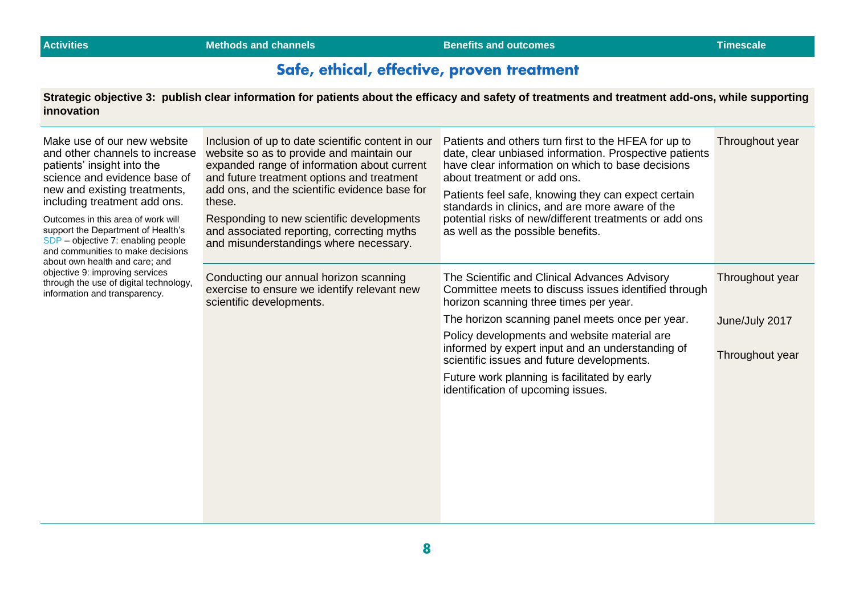### Safe, ethical, effective, proven treatment

**Strategic objective 3: publish clear information for patients about the efficacy and safety of treatments and treatment add-ons, while supporting innovation**

| Make use of our new website<br>and other channels to increase<br>patients' insight into the<br>science and evidence base of<br>new and existing treatments,<br>including treatment add ons.<br>Outcomes in this area of work will<br>support the Department of Health's<br>SDP - objective 7: enabling people<br>and communities to make decisions | Inclusion of up to date scientific content in our<br>website so as to provide and maintain our<br>expanded range of information about current<br>and future treatment options and treatment<br>add ons, and the scientific evidence base for<br>these.<br>Responding to new scientific developments<br>and associated reporting, correcting myths<br>and misunderstandings where necessary. | Patients and others turn first to the HFEA for up to<br>date, clear unbiased information. Prospective patients<br>have clear information on which to base decisions<br>about treatment or add ons.<br>Patients feel safe, knowing they can expect certain<br>standards in clinics, and are more aware of the<br>potential risks of new/different treatments or add ons<br>as well as the possible benefits. | Throughout year |
|----------------------------------------------------------------------------------------------------------------------------------------------------------------------------------------------------------------------------------------------------------------------------------------------------------------------------------------------------|---------------------------------------------------------------------------------------------------------------------------------------------------------------------------------------------------------------------------------------------------------------------------------------------------------------------------------------------------------------------------------------------|-------------------------------------------------------------------------------------------------------------------------------------------------------------------------------------------------------------------------------------------------------------------------------------------------------------------------------------------------------------------------------------------------------------|-----------------|
| about own health and care; and<br>objective 9: improving services<br>through the use of digital technology,<br>information and transparency.                                                                                                                                                                                                       | Conducting our annual horizon scanning<br>exercise to ensure we identify relevant new<br>scientific developments.                                                                                                                                                                                                                                                                           | The Scientific and Clinical Advances Advisory<br>Committee meets to discuss issues identified through<br>horizon scanning three times per year.                                                                                                                                                                                                                                                             | Throughout year |
|                                                                                                                                                                                                                                                                                                                                                    |                                                                                                                                                                                                                                                                                                                                                                                             | The horizon scanning panel meets once per year.                                                                                                                                                                                                                                                                                                                                                             | June/July 2017  |
|                                                                                                                                                                                                                                                                                                                                                    |                                                                                                                                                                                                                                                                                                                                                                                             | Policy developments and website material are<br>informed by expert input and an understanding of<br>scientific issues and future developments.                                                                                                                                                                                                                                                              | Throughout year |
|                                                                                                                                                                                                                                                                                                                                                    |                                                                                                                                                                                                                                                                                                                                                                                             | Future work planning is facilitated by early<br>identification of upcoming issues.                                                                                                                                                                                                                                                                                                                          |                 |
|                                                                                                                                                                                                                                                                                                                                                    |                                                                                                                                                                                                                                                                                                                                                                                             |                                                                                                                                                                                                                                                                                                                                                                                                             |                 |
|                                                                                                                                                                                                                                                                                                                                                    |                                                                                                                                                                                                                                                                                                                                                                                             |                                                                                                                                                                                                                                                                                                                                                                                                             |                 |
|                                                                                                                                                                                                                                                                                                                                                    |                                                                                                                                                                                                                                                                                                                                                                                             |                                                                                                                                                                                                                                                                                                                                                                                                             |                 |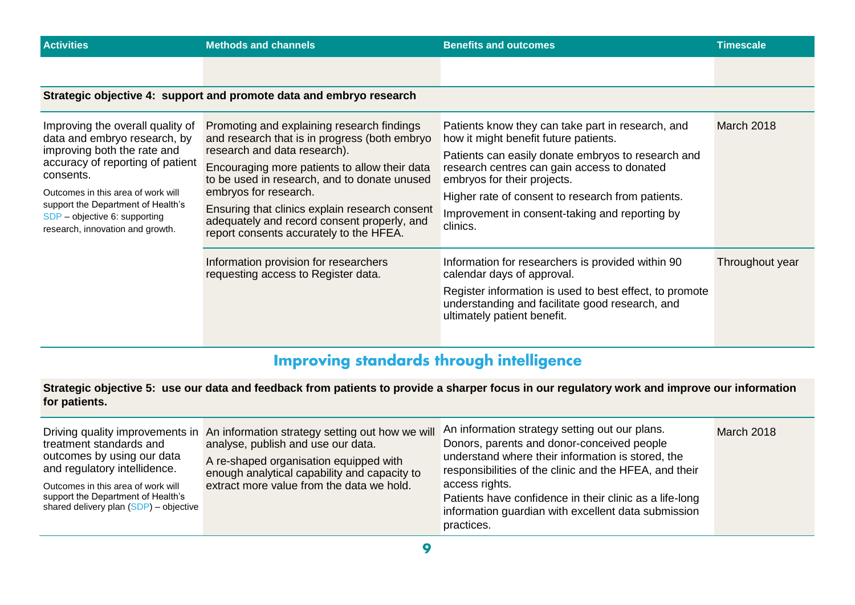| <b>Activities</b>                                                                                                                                                                                                                                                                                 | <b>Methods and channels</b>                                                                                                                                                                                                                                                                                                                                                                       | <b>Benefits and outcomes</b>                                                                                                                                                                                                                                                                                                                      | <b>Timescale</b> |
|---------------------------------------------------------------------------------------------------------------------------------------------------------------------------------------------------------------------------------------------------------------------------------------------------|---------------------------------------------------------------------------------------------------------------------------------------------------------------------------------------------------------------------------------------------------------------------------------------------------------------------------------------------------------------------------------------------------|---------------------------------------------------------------------------------------------------------------------------------------------------------------------------------------------------------------------------------------------------------------------------------------------------------------------------------------------------|------------------|
|                                                                                                                                                                                                                                                                                                   |                                                                                                                                                                                                                                                                                                                                                                                                   |                                                                                                                                                                                                                                                                                                                                                   |                  |
|                                                                                                                                                                                                                                                                                                   | Strategic objective 4: support and promote data and embryo research                                                                                                                                                                                                                                                                                                                               |                                                                                                                                                                                                                                                                                                                                                   |                  |
| Improving the overall quality of<br>data and embryo research, by<br>improving both the rate and<br>accuracy of reporting of patient<br>consents.<br>Outcomes in this area of work will<br>support the Department of Health's<br>SDP - objective 6: supporting<br>research, innovation and growth. | Promoting and explaining research findings<br>and research that is in progress (both embryo<br>research and data research).<br>Encouraging more patients to allow their data<br>to be used in research, and to donate unused<br>embryos for research.<br>Ensuring that clinics explain research consent<br>adequately and record consent properly, and<br>report consents accurately to the HFEA. | Patients know they can take part in research, and<br>how it might benefit future patients.<br>Patients can easily donate embryos to research and<br>research centres can gain access to donated<br>embryos for their projects.<br>Higher rate of consent to research from patients.<br>Improvement in consent-taking and reporting by<br>clinics. | March 2018       |
|                                                                                                                                                                                                                                                                                                   | Information provision for researchers<br>requesting access to Register data.                                                                                                                                                                                                                                                                                                                      | Information for researchers is provided within 90<br>calendar days of approval.<br>Register information is used to best effect, to promote<br>understanding and facilitate good research, and<br>ultimately patient benefit.                                                                                                                      | Throughout year  |

## **Improving standards through intelligence**

**Strategic objective 5: use our data and feedback from patients to provide a sharper focus in our regulatory work and improve our information for patients.**

| treatment standards and<br>outcomes by using our data<br>and regulatory intellidence.<br>Outcomes in this area of work will<br>support the Department of Health's<br>shared delivery plan $(SDP)$ – objective | Driving quality improvements in An information strategy setting out how we will An information strategy setting out our plans.<br>analyse, publish and use our data.<br>A re-shaped organisation equipped with<br>enough analytical capability and capacity to<br>extract more value from the data we hold. | Donors, parents and donor-conceived people<br>understand where their information is stored, the<br>responsibilities of the clinic and the HFEA, and their<br>access rights.<br>Patients have confidence in their clinic as a life-long<br>information guardian with excellent data submission<br>practices. | March 2018 |
|---------------------------------------------------------------------------------------------------------------------------------------------------------------------------------------------------------------|-------------------------------------------------------------------------------------------------------------------------------------------------------------------------------------------------------------------------------------------------------------------------------------------------------------|-------------------------------------------------------------------------------------------------------------------------------------------------------------------------------------------------------------------------------------------------------------------------------------------------------------|------------|
|---------------------------------------------------------------------------------------------------------------------------------------------------------------------------------------------------------------|-------------------------------------------------------------------------------------------------------------------------------------------------------------------------------------------------------------------------------------------------------------------------------------------------------------|-------------------------------------------------------------------------------------------------------------------------------------------------------------------------------------------------------------------------------------------------------------------------------------------------------------|------------|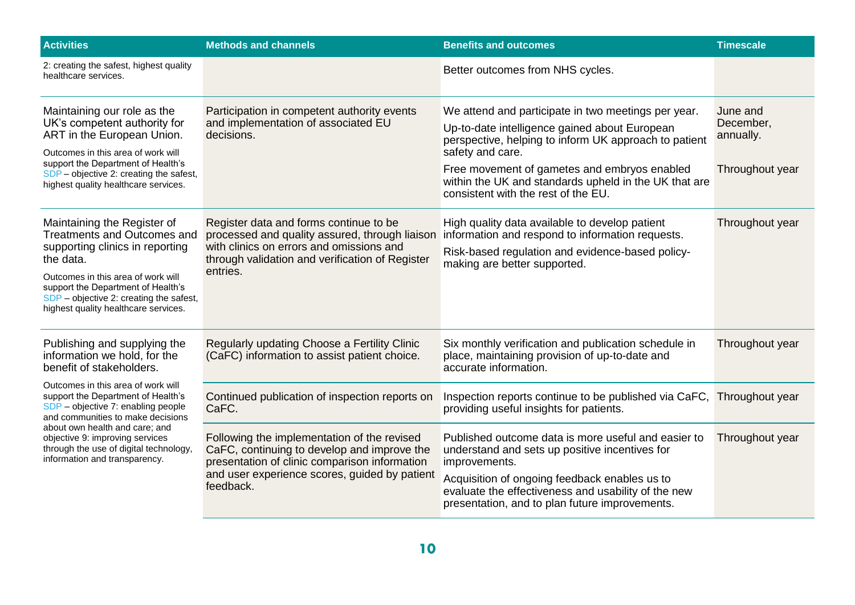| <b>Activities</b>                                                                                                                                                                                                                                                                                   | <b>Methods and channels</b>                                                                                                                                                                               | <b>Benefits and outcomes</b>                                                                                                                                                                                                                                                                                                      | <b>Timescale</b>                                      |
|-----------------------------------------------------------------------------------------------------------------------------------------------------------------------------------------------------------------------------------------------------------------------------------------------------|-----------------------------------------------------------------------------------------------------------------------------------------------------------------------------------------------------------|-----------------------------------------------------------------------------------------------------------------------------------------------------------------------------------------------------------------------------------------------------------------------------------------------------------------------------------|-------------------------------------------------------|
| 2: creating the safest, highest quality<br>healthcare services.                                                                                                                                                                                                                                     |                                                                                                                                                                                                           | Better outcomes from NHS cycles.                                                                                                                                                                                                                                                                                                  |                                                       |
| Maintaining our role as the<br>UK's competent authority for<br>ART in the European Union.<br>Outcomes in this area of work will<br>support the Department of Health's<br>SDP - objective 2: creating the safest,<br>highest quality healthcare services.                                            | Participation in competent authority events<br>and implementation of associated EU<br>decisions.                                                                                                          | We attend and participate in two meetings per year.<br>Up-to-date intelligence gained about European<br>perspective, helping to inform UK approach to patient<br>safety and care.<br>Free movement of gametes and embryos enabled<br>within the UK and standards upheld in the UK that are<br>consistent with the rest of the EU. | June and<br>December,<br>annually.<br>Throughout year |
| Maintaining the Register of<br><b>Treatments and Outcomes and</b><br>supporting clinics in reporting<br>the data.<br>Outcomes in this area of work will<br>support the Department of Health's<br>SDP - objective 2: creating the safest,<br>highest quality healthcare services.                    | Register data and forms continue to be<br>processed and quality assured, through liaison<br>with clinics on errors and omissions and<br>through validation and verification of Register<br>entries.       | High quality data available to develop patient<br>information and respond to information requests.<br>Risk-based regulation and evidence-based policy-<br>making are better supported.                                                                                                                                            | Throughout year                                       |
| Publishing and supplying the<br>information we hold, for the<br>benefit of stakeholders.                                                                                                                                                                                                            | Regularly updating Choose a Fertility Clinic<br>(CaFC) information to assist patient choice.                                                                                                              | Six monthly verification and publication schedule in<br>place, maintaining provision of up-to-date and<br>accurate information.                                                                                                                                                                                                   | Throughout year                                       |
| Outcomes in this area of work will<br>support the Department of Health's<br>SDP - objective 7: enabling people<br>and communities to make decisions<br>about own health and care; and<br>objective 9: improving services<br>through the use of digital technology,<br>information and transparency. | Continued publication of inspection reports on<br>CaFC.                                                                                                                                                   | Inspection reports continue to be published via CaFC,<br>providing useful insights for patients.                                                                                                                                                                                                                                  | Throughout year                                       |
|                                                                                                                                                                                                                                                                                                     | Following the implementation of the revised<br>CaFC, continuing to develop and improve the<br>presentation of clinic comparison information<br>and user experience scores, guided by patient<br>feedback. | Published outcome data is more useful and easier to<br>understand and sets up positive incentives for<br>improvements.<br>Acquisition of ongoing feedback enables us to<br>evaluate the effectiveness and usability of the new<br>presentation, and to plan future improvements.                                                  | Throughout year                                       |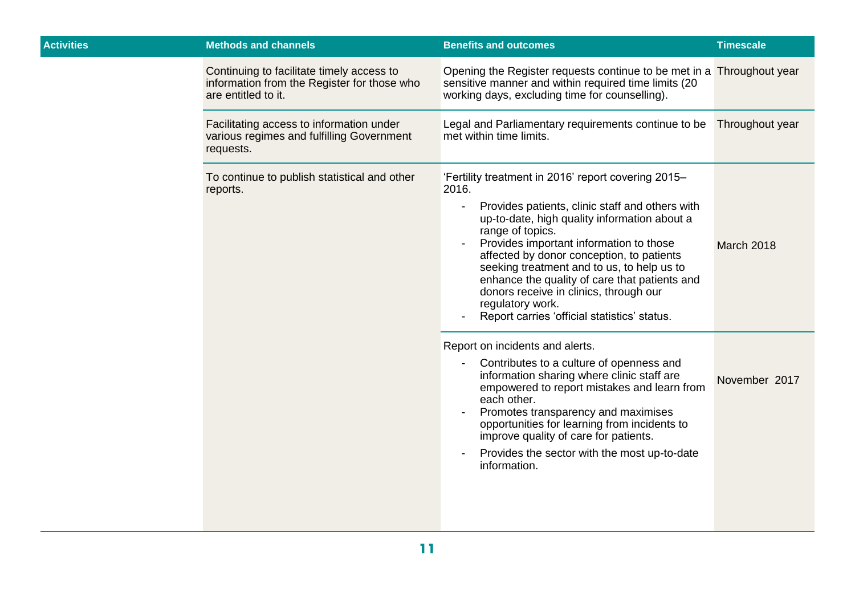| <b>Activities</b> | <b>Methods and channels</b>                                                                                     | <b>Benefits and outcomes</b>                                                                                                                                                                                                                                                                                                                                                                                                                                                             | <b>Timescale</b>  |
|-------------------|-----------------------------------------------------------------------------------------------------------------|------------------------------------------------------------------------------------------------------------------------------------------------------------------------------------------------------------------------------------------------------------------------------------------------------------------------------------------------------------------------------------------------------------------------------------------------------------------------------------------|-------------------|
|                   | Continuing to facilitate timely access to<br>information from the Register for those who<br>are entitled to it. | Opening the Register requests continue to be met in a Throughout year<br>sensitive manner and within required time limits (20<br>working days, excluding time for counselling).                                                                                                                                                                                                                                                                                                          |                   |
|                   | Facilitating access to information under<br>various regimes and fulfilling Government<br>requests.              | Legal and Parliamentary requirements continue to be<br>met within time limits.                                                                                                                                                                                                                                                                                                                                                                                                           | Throughout year   |
|                   | To continue to publish statistical and other<br>reports.                                                        | 'Fertility treatment in 2016' report covering 2015-<br>2016.<br>Provides patients, clinic staff and others with<br>up-to-date, high quality information about a<br>range of topics.<br>Provides important information to those<br>affected by donor conception, to patients<br>seeking treatment and to us, to help us to<br>enhance the quality of care that patients and<br>donors receive in clinics, through our<br>regulatory work.<br>Report carries 'official statistics' status. | <b>March 2018</b> |
|                   |                                                                                                                 | Report on incidents and alerts.<br>Contributes to a culture of openness and<br>information sharing where clinic staff are<br>empowered to report mistakes and learn from<br>each other.<br>Promotes transparency and maximises<br>opportunities for learning from incidents to<br>improve quality of care for patients.<br>Provides the sector with the most up-to-date<br>information.                                                                                                  | November 2017     |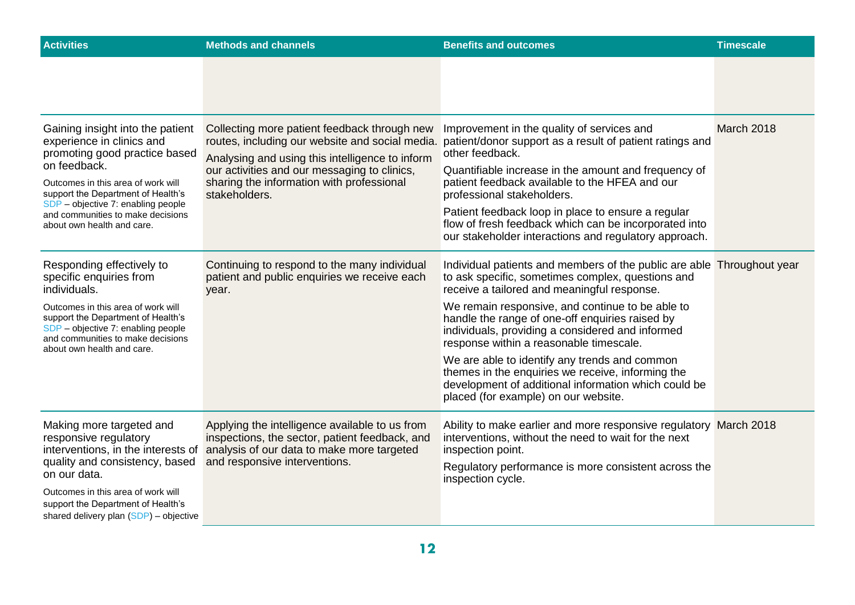| <b>Activities</b>                                                                                                                                                                                 | <b>Methods and channels</b>                                                                                                                                                     | <b>Benefits and outcomes</b>                                                                                                                                                                                                                                                                                                                                                                                                                                                                                                                                                                                                                                                                                                                                                                                                                                                                                                                                                | <b>Timescale</b> |
|---------------------------------------------------------------------------------------------------------------------------------------------------------------------------------------------------|---------------------------------------------------------------------------------------------------------------------------------------------------------------------------------|-----------------------------------------------------------------------------------------------------------------------------------------------------------------------------------------------------------------------------------------------------------------------------------------------------------------------------------------------------------------------------------------------------------------------------------------------------------------------------------------------------------------------------------------------------------------------------------------------------------------------------------------------------------------------------------------------------------------------------------------------------------------------------------------------------------------------------------------------------------------------------------------------------------------------------------------------------------------------------|------------------|
|                                                                                                                                                                                                   |                                                                                                                                                                                 |                                                                                                                                                                                                                                                                                                                                                                                                                                                                                                                                                                                                                                                                                                                                                                                                                                                                                                                                                                             |                  |
| Gaining insight into the patient<br>experience in clinics and<br>promoting good practice based                                                                                                    | Collecting more patient feedback through new<br>routes, including our website and social media.<br>Analysing and using this intelligence to inform                              | Improvement in the quality of services and<br>patient/donor support as a result of patient ratings and<br>other feedback.                                                                                                                                                                                                                                                                                                                                                                                                                                                                                                                                                                                                                                                                                                                                                                                                                                                   | March 2018       |
| on feedback.<br>Outcomes in this area of work will<br>support the Department of Health's<br>SDP - objective 7: enabling people<br>and communities to make decisions<br>about own health and care. | our activities and our messaging to clinics,<br>sharing the information with professional<br>stakeholders.                                                                      | Quantifiable increase in the amount and frequency of<br>patient feedback available to the HFEA and our<br>professional stakeholders.<br>Patient feedback loop in place to ensure a regular<br>flow of fresh feedback which can be incorporated into<br>our stakeholder interactions and regulatory approach.<br>Individual patients and members of the public are able Throughout year<br>to ask specific, sometimes complex, questions and<br>receive a tailored and meaningful response.<br>We remain responsive, and continue to be able to<br>handle the range of one-off enquiries raised by<br>individuals, providing a considered and informed<br>response within a reasonable timescale.<br>We are able to identify any trends and common<br>themes in the enquiries we receive, informing the<br>development of additional information which could be<br>placed (for example) on our website.<br>Ability to make earlier and more responsive regulatory March 2018 |                  |
|                                                                                                                                                                                                   |                                                                                                                                                                                 |                                                                                                                                                                                                                                                                                                                                                                                                                                                                                                                                                                                                                                                                                                                                                                                                                                                                                                                                                                             |                  |
| Responding effectively to<br>specific enquiries from<br>individuals.                                                                                                                              | Continuing to respond to the many individual<br>patient and public enquiries we receive each<br>year.                                                                           |                                                                                                                                                                                                                                                                                                                                                                                                                                                                                                                                                                                                                                                                                                                                                                                                                                                                                                                                                                             |                  |
| Outcomes in this area of work will<br>support the Department of Health's<br>SDP - objective 7: enabling people<br>and communities to make decisions<br>about own health and care.                 |                                                                                                                                                                                 |                                                                                                                                                                                                                                                                                                                                                                                                                                                                                                                                                                                                                                                                                                                                                                                                                                                                                                                                                                             |                  |
|                                                                                                                                                                                                   |                                                                                                                                                                                 |                                                                                                                                                                                                                                                                                                                                                                                                                                                                                                                                                                                                                                                                                                                                                                                                                                                                                                                                                                             |                  |
| Making more targeted and<br>responsive regulatory<br>interventions, in the interests of<br>quality and consistency, based                                                                         | Applying the intelligence available to us from<br>inspections, the sector, patient feedback, and<br>analysis of our data to make more targeted<br>and responsive interventions. | interventions, without the need to wait for the next<br>inspection point.                                                                                                                                                                                                                                                                                                                                                                                                                                                                                                                                                                                                                                                                                                                                                                                                                                                                                                   |                  |
| on our data.<br>Outcomes in this area of work will<br>support the Department of Health's<br>shared delivery plan $(SDP)$ – objective                                                              |                                                                                                                                                                                 | Regulatory performance is more consistent across the<br>inspection cycle.                                                                                                                                                                                                                                                                                                                                                                                                                                                                                                                                                                                                                                                                                                                                                                                                                                                                                                   |                  |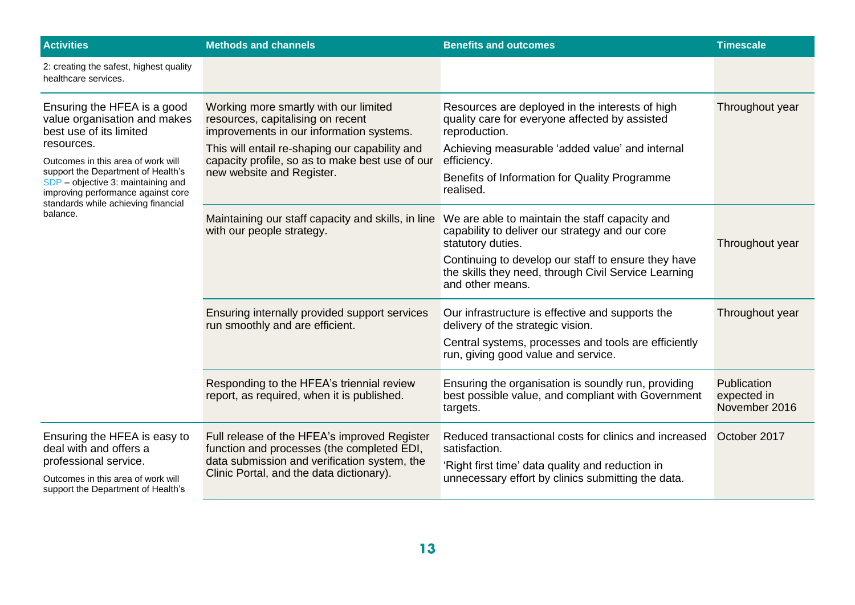| <b>Activities</b>                                                                                                                                                                                                                                                                                               | <b>Methods and channels</b>                                                                                                                                                                                                                              | <b>Benefits and outcomes</b>                                                                                                                                                                                                                              | <b>Timescale</b>                            |
|-----------------------------------------------------------------------------------------------------------------------------------------------------------------------------------------------------------------------------------------------------------------------------------------------------------------|----------------------------------------------------------------------------------------------------------------------------------------------------------------------------------------------------------------------------------------------------------|-----------------------------------------------------------------------------------------------------------------------------------------------------------------------------------------------------------------------------------------------------------|---------------------------------------------|
| 2: creating the safest, highest quality<br>healthcare services.                                                                                                                                                                                                                                                 |                                                                                                                                                                                                                                                          |                                                                                                                                                                                                                                                           |                                             |
| Ensuring the HFEA is a good<br>value organisation and makes<br>best use of its limited<br>resources.<br>Outcomes in this area of work will<br>support the Department of Health's<br>SDP - objective 3: maintaining and<br>improving performance against core<br>standards while achieving financial<br>balance. | Working more smartly with our limited<br>resources, capitalising on recent<br>improvements in our information systems.<br>This will entail re-shaping our capability and<br>capacity profile, so as to make best use of our<br>new website and Register. | Resources are deployed in the interests of high<br>quality care for everyone affected by assisted<br>reproduction.<br>Achieving measurable 'added value' and internal<br>efficiency.<br>Benefits of Information for Quality Programme<br>realised.        | Throughout year                             |
|                                                                                                                                                                                                                                                                                                                 | Maintaining our staff capacity and skills, in line<br>with our people strategy.                                                                                                                                                                          | We are able to maintain the staff capacity and<br>capability to deliver our strategy and our core<br>statutory duties.<br>Continuing to develop our staff to ensure they have<br>the skills they need, through Civil Service Learning<br>and other means. | Throughout year                             |
|                                                                                                                                                                                                                                                                                                                 | Ensuring internally provided support services<br>run smoothly and are efficient.                                                                                                                                                                         | Our infrastructure is effective and supports the<br>delivery of the strategic vision.<br>Central systems, processes and tools are efficiently<br>run, giving good value and service.                                                                      | Throughout year                             |
|                                                                                                                                                                                                                                                                                                                 | Responding to the HFEA's triennial review<br>report, as required, when it is published.                                                                                                                                                                  | Ensuring the organisation is soundly run, providing<br>best possible value, and compliant with Government<br>targets.                                                                                                                                     | Publication<br>expected in<br>November 2016 |
| Ensuring the HFEA is easy to<br>deal with and offers a<br>professional service.<br>Outcomes in this area of work will<br>support the Department of Health's                                                                                                                                                     | Full release of the HFEA's improved Register<br>function and processes (the completed EDI,<br>data submission and verification system, the<br>Clinic Portal, and the data dictionary).                                                                   | Reduced transactional costs for clinics and increased<br>satisfaction.<br>'Right first time' data quality and reduction in<br>unnecessary effort by clinics submitting the data.                                                                          | October 2017                                |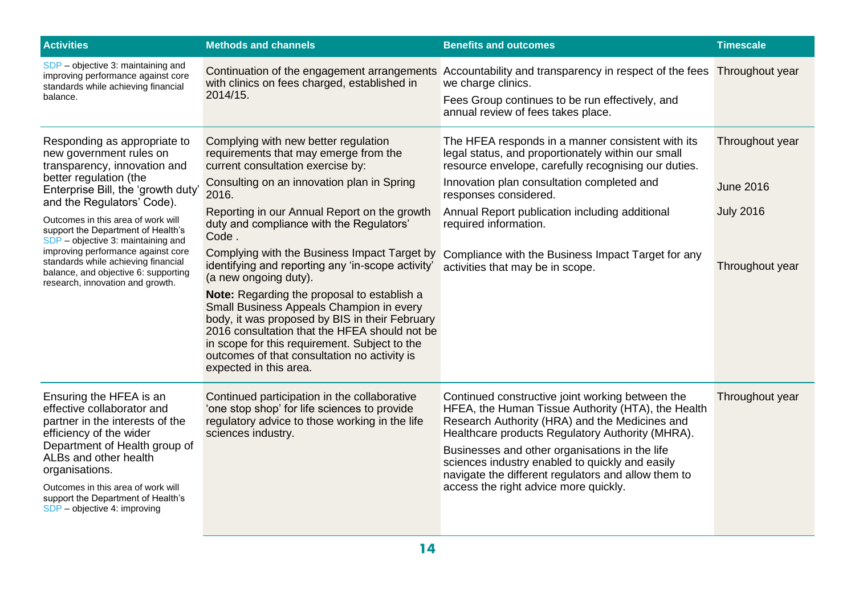| <b>Activities</b>                                                                                                                                                                                                                                                                                                                                                                                                                                                | <b>Methods and channels</b>                                                                                                                                                                                                                                                                                                                                                                                                                                                                                                                                                                                                                                                                                                           | <b>Benefits and outcomes</b>                                                                                                                                                                                                                                                                                                                                                                                      | <b>Timescale</b>                                                           |
|------------------------------------------------------------------------------------------------------------------------------------------------------------------------------------------------------------------------------------------------------------------------------------------------------------------------------------------------------------------------------------------------------------------------------------------------------------------|---------------------------------------------------------------------------------------------------------------------------------------------------------------------------------------------------------------------------------------------------------------------------------------------------------------------------------------------------------------------------------------------------------------------------------------------------------------------------------------------------------------------------------------------------------------------------------------------------------------------------------------------------------------------------------------------------------------------------------------|-------------------------------------------------------------------------------------------------------------------------------------------------------------------------------------------------------------------------------------------------------------------------------------------------------------------------------------------------------------------------------------------------------------------|----------------------------------------------------------------------------|
| SDP - objective 3: maintaining and<br>improving performance against core<br>standards while achieving financial<br>balance.                                                                                                                                                                                                                                                                                                                                      | with clinics on fees charged, established in<br>2014/15.                                                                                                                                                                                                                                                                                                                                                                                                                                                                                                                                                                                                                                                                              | Continuation of the engagement arrangements Accountability and transparency in respect of the fees<br>we charge clinics.<br>Fees Group continues to be run effectively, and<br>annual review of fees takes place.                                                                                                                                                                                                 | Throughout year                                                            |
| Responding as appropriate to<br>new government rules on<br>transparency, innovation and<br>better regulation (the<br>Enterprise Bill, the 'growth duty'<br>and the Regulators' Code).<br>Outcomes in this area of work will<br>support the Department of Health's<br>SDP - objective 3: maintaining and<br>improving performance against core<br>standards while achieving financial<br>balance, and objective 6: supporting<br>research, innovation and growth. | Complying with new better regulation<br>requirements that may emerge from the<br>current consultation exercise by:<br>Consulting on an innovation plan in Spring<br>2016.<br>Reporting in our Annual Report on the growth<br>duty and compliance with the Regulators'<br>Code.<br>Complying with the Business Impact Target by<br>identifying and reporting any 'in-scope activity'<br>(a new ongoing duty).<br>Note: Regarding the proposal to establish a<br>Small Business Appeals Champion in every<br>body, it was proposed by BIS in their February<br>2016 consultation that the HFEA should not be<br>in scope for this requirement. Subject to the<br>outcomes of that consultation no activity is<br>expected in this area. | The HFEA responds in a manner consistent with its<br>legal status, and proportionately within our small<br>resource envelope, carefully recognising our duties.<br>Innovation plan consultation completed and<br>responses considered.<br>Annual Report publication including additional<br>required information.<br>Compliance with the Business Impact Target for any<br>activities that may be in scope.       | Throughout year<br><b>June 2016</b><br><b>July 2016</b><br>Throughout year |
| Ensuring the HFEA is an<br>effective collaborator and<br>partner in the interests of the<br>efficiency of the wider<br>Department of Health group of<br>ALBs and other health<br>organisations.<br>Outcomes in this area of work will<br>support the Department of Health's<br>SDP - objective 4: improving                                                                                                                                                      | Continued participation in the collaborative<br>'one stop shop' for life sciences to provide<br>regulatory advice to those working in the life<br>sciences industry.                                                                                                                                                                                                                                                                                                                                                                                                                                                                                                                                                                  | Continued constructive joint working between the<br>HFEA, the Human Tissue Authority (HTA), the Health<br>Research Authority (HRA) and the Medicines and<br>Healthcare products Regulatory Authority (MHRA).<br>Businesses and other organisations in the life<br>sciences industry enabled to quickly and easily<br>navigate the different regulators and allow them to<br>access the right advice more quickly. | Throughout year                                                            |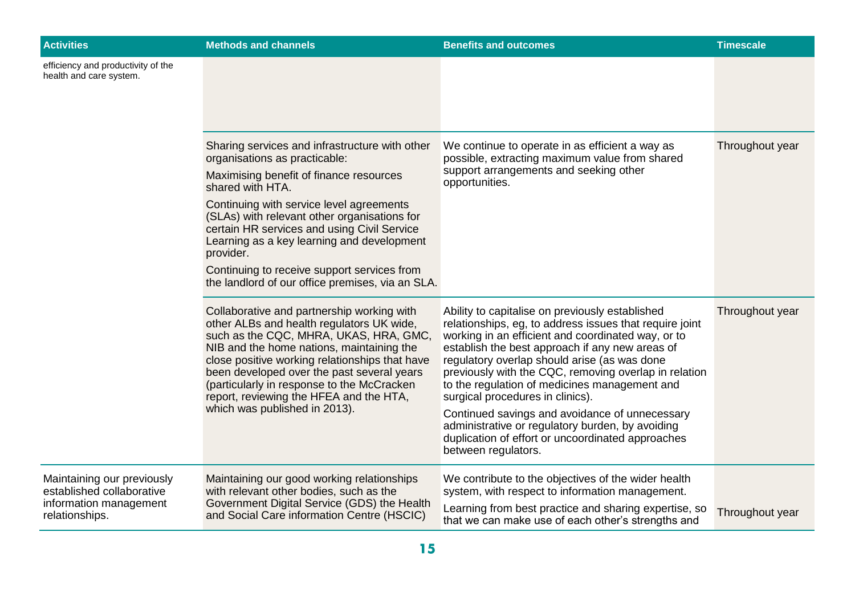| <b>Activities</b>                                                                                   | <b>Methods and channels</b>                                                                                                                                                                                                                                                                                                                                                                                                                             | <b>Benefits and outcomes</b>                                                                                                                                                                                                                                                                                                                                                                                                                                                                                                                                                                        | <b>Timescale</b> |
|-----------------------------------------------------------------------------------------------------|---------------------------------------------------------------------------------------------------------------------------------------------------------------------------------------------------------------------------------------------------------------------------------------------------------------------------------------------------------------------------------------------------------------------------------------------------------|-----------------------------------------------------------------------------------------------------------------------------------------------------------------------------------------------------------------------------------------------------------------------------------------------------------------------------------------------------------------------------------------------------------------------------------------------------------------------------------------------------------------------------------------------------------------------------------------------------|------------------|
| efficiency and productivity of the<br>health and care system.                                       |                                                                                                                                                                                                                                                                                                                                                                                                                                                         |                                                                                                                                                                                                                                                                                                                                                                                                                                                                                                                                                                                                     |                  |
|                                                                                                     | Sharing services and infrastructure with other<br>organisations as practicable:<br>Maximising benefit of finance resources<br>shared with HTA.<br>Continuing with service level agreements<br>(SLAs) with relevant other organisations for<br>certain HR services and using Civil Service<br>Learning as a key learning and development<br>provider.<br>Continuing to receive support services from<br>the landlord of our office premises, via an SLA. | We continue to operate in as efficient a way as<br>possible, extracting maximum value from shared<br>support arrangements and seeking other<br>opportunities.                                                                                                                                                                                                                                                                                                                                                                                                                                       | Throughout year  |
|                                                                                                     | Collaborative and partnership working with<br>other ALBs and health regulators UK wide,<br>such as the CQC, MHRA, UKAS, HRA, GMC,<br>NIB and the home nations, maintaining the<br>close positive working relationships that have<br>been developed over the past several years<br>(particularly in response to the McCracken<br>report, reviewing the HFEA and the HTA,<br>which was published in 2013).                                                | Ability to capitalise on previously established<br>relationships, eg, to address issues that require joint<br>working in an efficient and coordinated way, or to<br>establish the best approach if any new areas of<br>regulatory overlap should arise (as was done<br>previously with the CQC, removing overlap in relation<br>to the regulation of medicines management and<br>surgical procedures in clinics).<br>Continued savings and avoidance of unnecessary<br>administrative or regulatory burden, by avoiding<br>duplication of effort or uncoordinated approaches<br>between regulators. | Throughout year  |
| Maintaining our previously<br>established collaborative<br>information management<br>relationships. | Maintaining our good working relationships<br>with relevant other bodies, such as the<br>Government Digital Service (GDS) the Health<br>and Social Care information Centre (HSCIC)                                                                                                                                                                                                                                                                      | We contribute to the objectives of the wider health<br>system, with respect to information management.<br>Learning from best practice and sharing expertise, so<br>that we can make use of each other's strengths and                                                                                                                                                                                                                                                                                                                                                                               | Throughout year  |